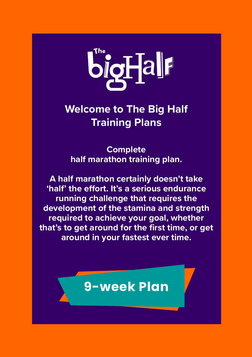

#### **Welcome to The Big Half Training Plans**

**Complete half marathon training plan.**

**A half marathon certainly doesn't take 'half' the effort. It's a serious endurance running challenge that requires the development of the stamina and strength required to achieve your goal, whether that's to get around for the first time, or get around in your fastest ever time.** 

#### **9-week Plan**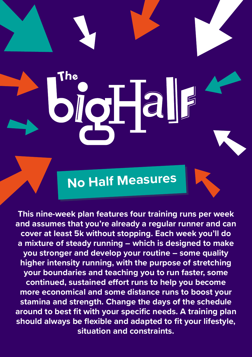**No Half Measures**

Dio Fall

**This nine-week plan features four training runs per week and assumes that you're already a regular runner and can cover at least 5k without stopping. Each week you'll do a mixture of steady running – which is designed to make you stronger and develop your routine – some quality higher intensity running, with the purpose of stretching your boundaries and teaching you to run faster, some continued, sustained effort runs to help you become more economical and some distance runs to boost your stamina and strength. Change the days of the schedule around to best fit with your specific needs. A training plan should always be flexible and adapted to fit your lifestyle, situation and constraints.**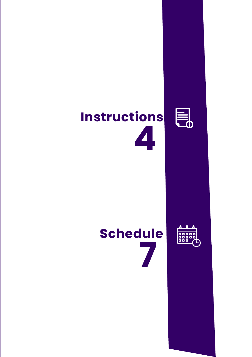# **Instructions 4**





E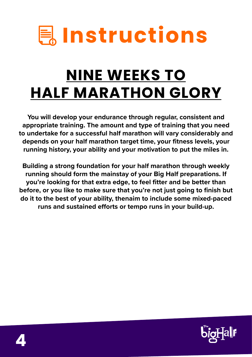

# **NINE WEEKS TO HALF MARATHON GLORY**

**You will develop your endurance through regular, consistent and appropriate training. The amount and type of training that you need to undertake for a successful half marathon will vary considerably and depends on your half marathon target time, your fitness levels, your running history, your ability and your motivation to put the miles in.** 

**Building a strong foundation for your half marathon through weekly running should form the mainstay of your Big Half preparations. If you're looking for that extra edge, to feel fitter and be better than before, or you like to make sure that you're not just going to finish but do it to the best of your ability, thenaim to include some mixed-paced runs and sustained efforts or tempo runs in your build-up.** 

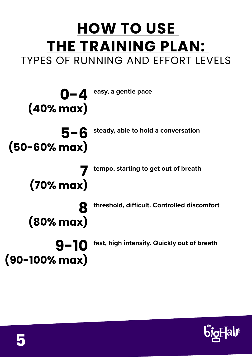#### **HOW TO USE THE TRAINING PLAN:**  TYPES OF RUNNING AND EFFORT LEVELS

**easy, a gentle pace 0-4 (40% max) steady, able to hold a conversation threshold, difficult. Controlled discomfort tempo, starting to get out of breath fast, high intensity. Quickly out of breath 5-6 (50-60% max) 8 (80% max) 7 (70% max) 9-10 (90-100% max)**

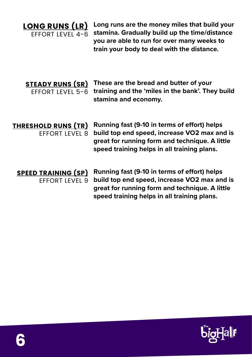**LONG RUNS (LR)**  EFFORT LEVEL 4-6 **Long runs are the money miles that build your stamina. Gradually build up the time/distance you are able to run for over many weeks to train your body to deal with the distance.**

**STEADY RUNS (SR)**  EFFORT LEVEL 5-6

**These are the bread and butter of your training and the 'miles in the bank'. They build stamina and economy.**

**THRESHOLD RUNS (TR)**  EFFORT LEVEL 8

**Running fast (9-10 in terms of effort) helps build top end speed, increase VO2 max and is great for running form and technique. A little speed training helps in all training plans.**

**SPEED TRAINING (SP)**  EFFORT LEVEL 9

**Running fast (9-10 in terms of effort) helps build top end speed, increase VO2 max and is great for running form and technique. A little speed training helps in all training plans.**

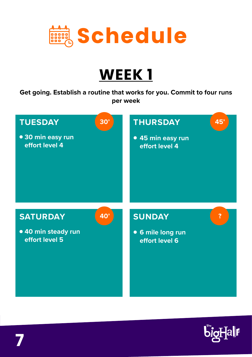

**Get going. Establish a routine that works for you. Commit to four runs per week**



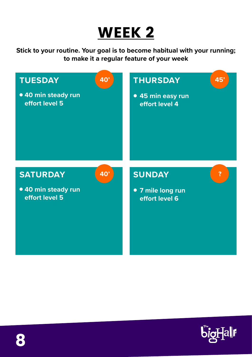**Stick to your routine. Your goal is to become habitual with your running; to make it a regular feature of your week**



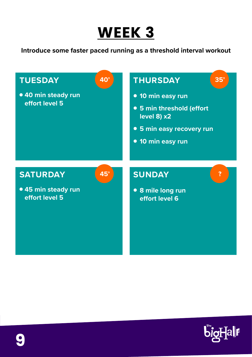**Introduce some faster paced running as a threshold interval workout**



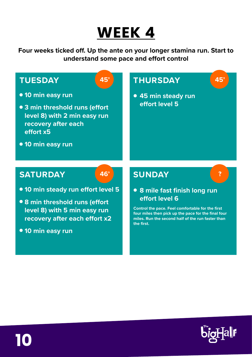**Four weeks ticked off. Up the ante on your longer stamina run. Start to understand some pace and effort control**



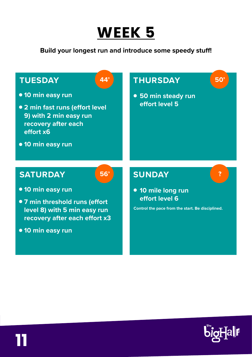

#### **Build your longest run and introduce some speedy stuff!**



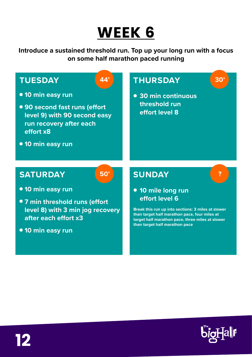**Introduce a sustained threshold run. Top up your long run with a focus on some half marathon paced running**



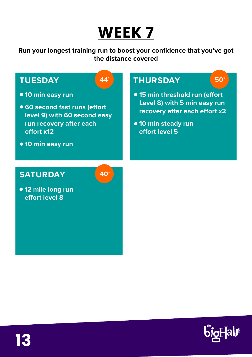**Run your longest training run to boost your confidence that you've got the distance covered**



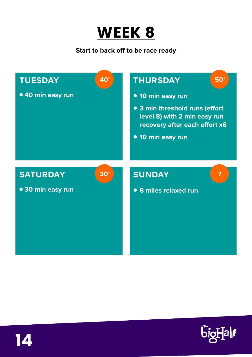

**Start to back off to be race ready**